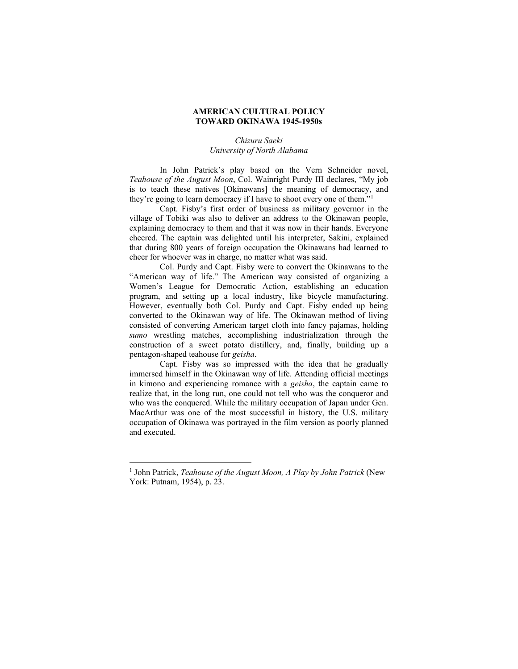## **AMERICAN CULTURAL POLICY TOWARD OKINAWA 1945-1950s**

## *Chizuru Saeki University of North Alabama*

In John Patrick's play based on the Vern Schneider novel, *Teahouse of the August Moon*, Col. Wainright Purdy III declares, "My job is to teach these natives [Okinawans] the meaning of democracy, and they're going to learn democracy if I have to shoot every one of them."[1](#page-0-0)

Capt. Fisby's first order of business as military governor in the village of Tobiki was also to deliver an address to the Okinawan people, explaining democracy to them and that it was now in their hands. Everyone cheered. The captain was delighted until his interpreter, Sakini, explained that during 800 years of foreign occupation the Okinawans had learned to cheer for whoever was in charge, no matter what was said.

Col. Purdy and Capt. Fisby were to convert the Okinawans to the "American way of life." The American way consisted of organizing a Women's League for Democratic Action, establishing an education program, and setting up a local industry, like bicycle manufacturing. However, eventually both Col. Purdy and Capt. Fisby ended up being converted to the Okinawan way of life. The Okinawan method of living consisted of converting American target cloth into fancy pajamas, holding *sumo* wrestling matches, accomplishing industrialization through the construction of a sweet potato distillery, and, finally, building up a pentagon-shaped teahouse for *geisha*.

Capt. Fisby was so impressed with the idea that he gradually immersed himself in the Okinawan way of life. Attending official meetings in kimono and experiencing romance with a *geisha*, the captain came to realize that, in the long run, one could not tell who was the conqueror and who was the conquered. While the military occupation of Japan under Gen. MacArthur was one of the most successful in history, the U.S. military occupation of Okinawa was portrayed in the film version as poorly planned and executed.

<span id="page-0-0"></span><sup>1</sup> John Patrick, *Teahouse of the August Moon, A Play by John Patrick* (New York: Putnam, 1954), p. 23.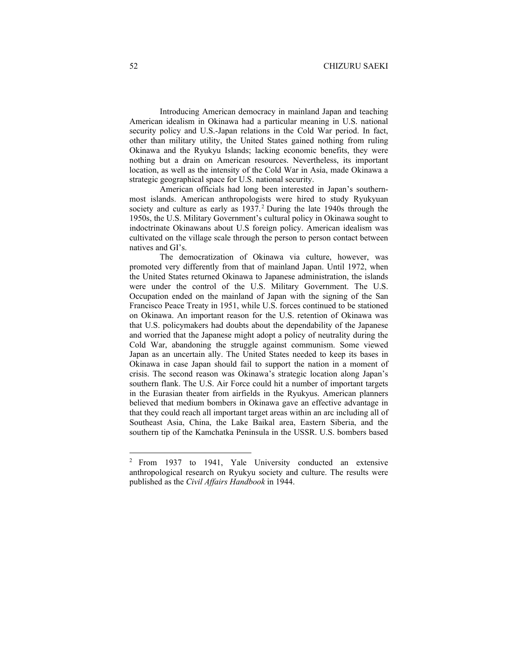Introducing American democracy in mainland Japan and teaching American idealism in Okinawa had a particular meaning in U.S. national security policy and U.S.-Japan relations in the Cold War period. In fact, other than military utility, the United States gained nothing from ruling Okinawa and the Ryukyu Islands; lacking economic benefits, they were nothing but a drain on American resources. Nevertheless, its important location, as well as the intensity of the Cold War in Asia, made Okinawa a strategic geographical space for U.S. national security.

American officials had long been interested in Japan's southernmost islands. American anthropologists were hired to study Ryukyuan society and culture as early as 1937.<sup>[2](#page-1-0)</sup> During the late 1940s through the 1950s, the U.S. Military Government's cultural policy in Okinawa sought to indoctrinate Okinawans about U.S foreign policy. American idealism was cultivated on the village scale through the person to person contact between natives and GI's.

The democratization of Okinawa via culture, however, was promoted very differently from that of mainland Japan. Until 1972, when the United States returned Okinawa to Japanese administration, the islands were under the control of the U.S. Military Government. The U.S. Occupation ended on the mainland of Japan with the signing of the San Francisco Peace Treaty in 1951, while U.S. forces continued to be stationed on Okinawa. An important reason for the U.S. retention of Okinawa was that U.S. policymakers had doubts about the dependability of the Japanese and worried that the Japanese might adopt a policy of neutrality during the Cold War, abandoning the struggle against communism. Some viewed Japan as an uncertain ally. The United States needed to keep its bases in Okinawa in case Japan should fail to support the nation in a moment of crisis. The second reason was Okinawa's strategic location along Japan's southern flank. The U.S. Air Force could hit a number of important targets in the Eurasian theater from airfields in the Ryukyus. American planners believed that medium bombers in Okinawa gave an effective advantage in that they could reach all important target areas within an arc including all of Southeast Asia, China, the Lake Baikal area, Eastern Siberia, and the southern tip of the Kamchatka Peninsula in the USSR. U.S. bombers based

<span id="page-1-0"></span><sup>2</sup> From 1937 to 1941, Yale University conducted an extensive anthropological research on Ryukyu society and culture. The results were published as the *Civil Affairs Handbook* in 1944.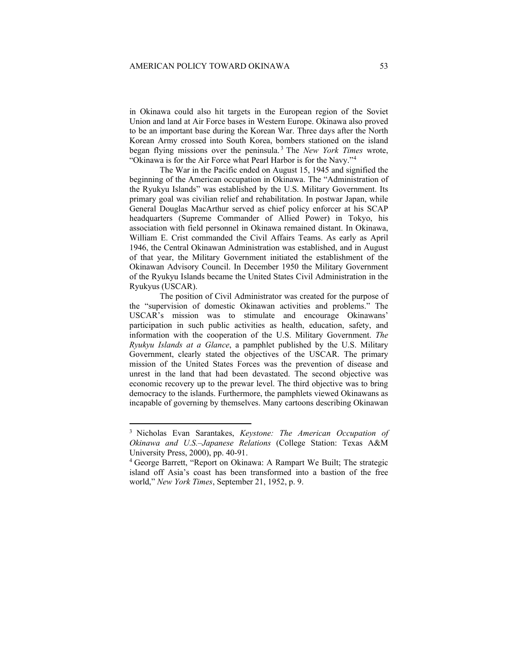in Okinawa could also hit targets in the European region of the Soviet Union and land at Air Force bases in Western Europe. Okinawa also proved to be an important base during the Korean War. Three days after the North Korean Army crossed into South Korea, bombers stationed on the island began flying missions over the peninsula. [3](#page-2-0) The *New York Times* wrote, "Okinawa is for the Air Force what Pearl Harbor is for the Navy."[4](#page-2-1)

The War in the Pacific ended on August 15, 1945 and signified the beginning of the American occupation in Okinawa. The "Administration of the Ryukyu Islands" was established by the U.S. Military Government. Its primary goal was civilian relief and rehabilitation. In postwar Japan, while General Douglas MacArthur served as chief policy enforcer at his SCAP headquarters (Supreme Commander of Allied Power) in Tokyo, his association with field personnel in Okinawa remained distant. In Okinawa, William E. Crist commanded the Civil Affairs Teams. As early as April 1946, the Central Okinawan Administration was established, and in August of that year, the Military Government initiated the establishment of the Okinawan Advisory Council. In December 1950 the Military Government of the Ryukyu Islands became the United States Civil Administration in the Ryukyus (USCAR).

The position of Civil Administrator was created for the purpose of the "supervision of domestic Okinawan activities and problems." The USCAR's mission was to stimulate and encourage Okinawans' participation in such public activities as health, education, safety, and information with the cooperation of the U.S. Military Government. *The Ryukyu Islands at a Glance*, a pamphlet published by the U.S. Military Government, clearly stated the objectives of the USCAR. The primary mission of the United States Forces was the prevention of disease and unrest in the land that had been devastated. The second objective was economic recovery up to the prewar level. The third objective was to bring democracy to the islands. Furthermore, the pamphlets viewed Okinawans as incapable of governing by themselves. Many cartoons describing Okinawan

<span id="page-2-0"></span><sup>3</sup> Nicholas Evan Sarantakes, *Keystone: The American Occupation of Okinawa and U.S.–Japanese Relations* (College Station: Texas A&M University Press, 2000), pp. 40-91.

<span id="page-2-1"></span><sup>4</sup> George Barrett, "Report on Okinawa: A Rampart We Built; The strategic island off Asia's coast has been transformed into a bastion of the free world," *New York Times*, September 21, 1952, p. 9.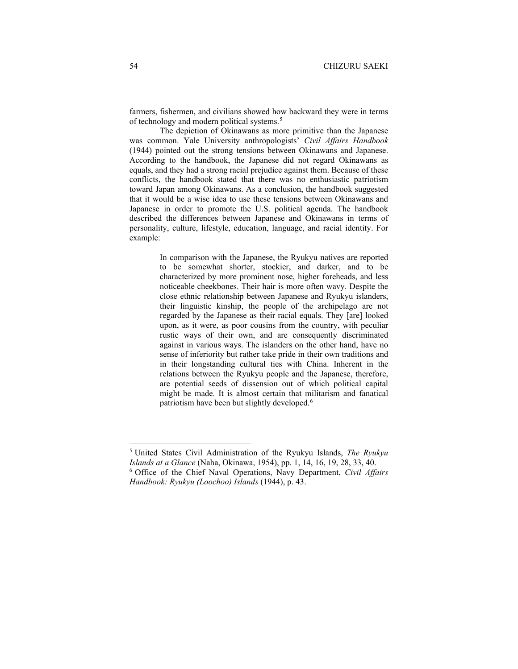farmers, fishermen, and civilians showed how backward they were in terms of technology and modern political systems.<sup>[5](#page-3-0)</sup>

The depiction of Okinawans as more primitive than the Japanese was common. Yale University anthropologists' *Civil Affairs Handbook* (1944) pointed out the strong tensions between Okinawans and Japanese. According to the handbook, the Japanese did not regard Okinawans as equals, and they had a strong racial prejudice against them. Because of these conflicts, the handbook stated that there was no enthusiastic patriotism toward Japan among Okinawans. As a conclusion, the handbook suggested that it would be a wise idea to use these tensions between Okinawans and Japanese in order to promote the U.S. political agenda. The handbook described the differences between Japanese and Okinawans in terms of personality, culture, lifestyle, education, language, and racial identity. For example:

> In comparison with the Japanese, the Ryukyu natives are reported to be somewhat shorter, stockier, and darker, and to be characterized by more prominent nose, higher foreheads, and less noticeable cheekbones. Their hair is more often wavy. Despite the close ethnic relationship between Japanese and Ryukyu islanders, their linguistic kinship, the people of the archipelago are not regarded by the Japanese as their racial equals. They [are] looked upon, as it were, as poor cousins from the country, with peculiar rustic ways of their own, and are consequently discriminated against in various ways. The islanders on the other hand, have no sense of inferiority but rather take pride in their own traditions and in their longstanding cultural ties with China. Inherent in the relations between the Ryukyu people and the Japanese, therefore, are potential seeds of dissension out of which political capital might be made. It is almost certain that militarism and fanatical patriotism have been but slightly developed.<sup>[6](#page-3-1)</sup>

<span id="page-3-1"></span><span id="page-3-0"></span><sup>5</sup> United States Civil Administration of the Ryukyu Islands, *The Ryukyu Islands at a Glance* (Naha, Okinawa, 1954), pp. 1, 14, 16, 19, 28, 33, 40. <sup>6</sup> Office of the Chief Naval Operations, Navy Department, *Civil Affairs Handbook: Ryukyu (Loochoo) Islands* (1944), p. 43.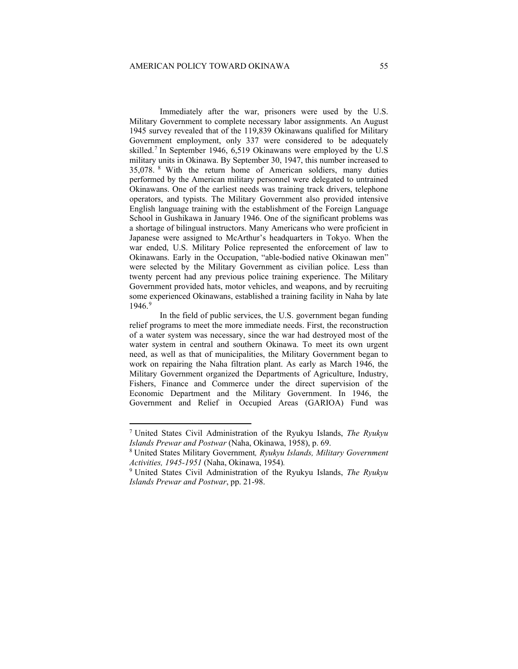Immediately after the war, prisoners were used by the U.S. Military Government to complete necessary labor assignments. An August 1945 survey revealed that of the 119,839 Okinawans qualified for Military Government employment, only 337 were considered to be adequately skilled.[7](#page-4-0) In September 1946, 6,519 Okinawans were employed by the U.S military units in Okinawa. By September 30, 1947, this number increased to 35,078. [8](#page-4-1) With the return home of American soldiers, many duties performed by the American military personnel were delegated to untrained Okinawans. One of the earliest needs was training track drivers, telephone operators, and typists. The Military Government also provided intensive English language training with the establishment of the Foreign Language School in Gushikawa in January 1946. One of the significant problems was a shortage of bilingual instructors. Many Americans who were proficient in Japanese were assigned to McArthur's headquarters in Tokyo. When the war ended, U.S. Military Police represented the enforcement of law to Okinawans. Early in the Occupation, "able-bodied native Okinawan men" were selected by the Military Government as civilian police. Less than twenty percent had any previous police training experience. The Military Government provided hats, motor vehicles, and weapons, and by recruiting some experienced Okinawans, established a training facility in Naha by late 1946.[9](#page-4-2)

In the field of public services, the U.S. government began funding relief programs to meet the more immediate needs. First, the reconstruction of a water system was necessary, since the war had destroyed most of the water system in central and southern Okinawa. To meet its own urgent need, as well as that of municipalities, the Military Government began to work on repairing the Naha filtration plant. As early as March 1946, the Military Government organized the Departments of Agriculture, Industry, Fishers, Finance and Commerce under the direct supervision of the Economic Department and the Military Government. In 1946, the Government and Relief in Occupied Areas (GARIOA) Fund was

<span id="page-4-0"></span><sup>7</sup> United States Civil Administration of the Ryukyu Islands, *The Ryukyu Islands Prewar and Postwar* (Naha, Okinawa, 1958), p. 69.

<span id="page-4-1"></span><sup>8</sup> United States Military Government*, Ryukyu Islands, Military Government Activities, 1945-1951* (Naha, Okinawa, 1954)*.*

<span id="page-4-2"></span><sup>9</sup> United States Civil Administration of the Ryukyu Islands, *The Ryukyu Islands Prewar and Postwar*, pp. 21-98.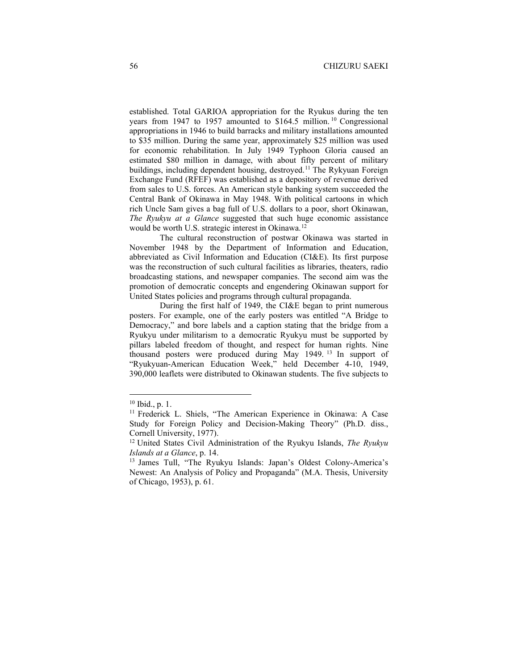established. Total GARIOA appropriation for the Ryukus during the ten years from 1947 to 1957 amounted to \$164.5 million.<sup>[10](#page-5-0)</sup> Congressional appropriations in 1946 to build barracks and military installations amounted to \$35 million. During the same year, approximately \$25 million was used for economic rehabilitation. In July 1949 Typhoon Gloria caused an estimated \$80 million in damage, with about fifty percent of military buildings, including dependent housing, destroyed.<sup>[11](#page-5-1)</sup> The Rykyuan Foreign Exchange Fund (RFEF) was established as a depository of revenue derived from sales to U.S. forces. An American style banking system succeeded the Central Bank of Okinawa in May 1948. With political cartoons in which rich Uncle Sam gives a bag full of U.S. dollars to a poor, short Okinawan, *The Ryukyu at a Glance* suggested that such huge economic assistance would be worth U.S. strategic interest in Okinawa.[12](#page-5-2)

The cultural reconstruction of postwar Okinawa was started in November 1948 by the Department of Information and Education, abbreviated as Civil Information and Education (CI&E). Its first purpose was the reconstruction of such cultural facilities as libraries, theaters, radio broadcasting stations, and newspaper companies. The second aim was the promotion of democratic concepts and engendering Okinawan support for United States policies and programs through cultural propaganda.

During the first half of 1949, the CI&E began to print numerous posters. For example, one of the early posters was entitled "A Bridge to Democracy," and bore labels and a caption stating that the bridge from a Ryukyu under militarism to a democratic Ryukyu must be supported by pillars labeled freedom of thought, and respect for human rights. Nine thousand posters were produced during May 1949. [13](#page-5-3) In support of "Ryukyuan-American Education Week," held December 4-10, 1949, 390,000 leaflets were distributed to Okinawan students. The five subjects to

<span id="page-5-0"></span><sup>10</sup> Ibid., p. 1.

<span id="page-5-1"></span><sup>&</sup>lt;sup>11</sup> Frederick L. Shiels, "The American Experience in Okinawa: A Case Study for Foreign Policy and Decision-Making Theory" (Ph.D. diss., Cornell University, 1977).

<span id="page-5-2"></span><sup>12</sup> United States Civil Administration of the Ryukyu Islands, *The Ryukyu Islands at a Glance*, p. 14.<br><sup>13</sup> James Tull, "The Ryukyu Islands: Japan's Oldest Colony-America's

<span id="page-5-3"></span>Newest: An Analysis of Policy and Propaganda" (M.A. Thesis, University of Chicago, 1953), p. 61.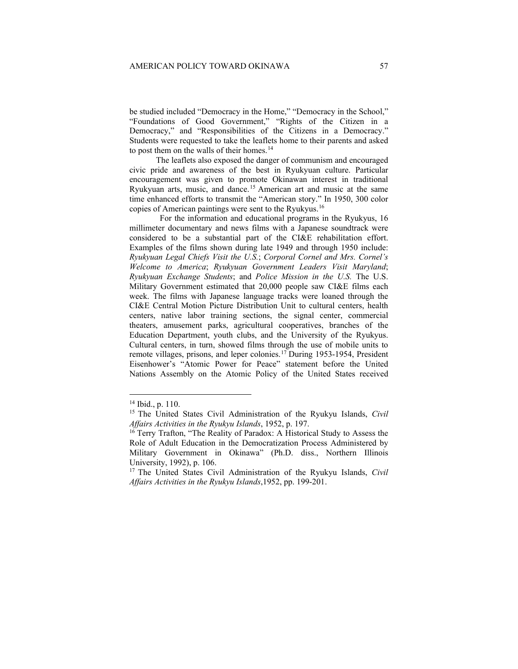be studied included "Democracy in the Home," "Democracy in the School," "Foundations of Good Government," "Rights of the Citizen in a Democracy," and "Responsibilities of the Citizens in a Democracy." Students were requested to take the leaflets home to their parents and asked to post them on the walls of their homes.<sup>[14](#page-6-0)</sup>

The leaflets also exposed the danger of communism and encouraged civic pride and awareness of the best in Ryukyuan culture. Particular encouragement was given to promote Okinawan interest in traditional Ryukyuan arts, music, and dance.[15](#page-6-1) American art and music at the same time enhanced efforts to transmit the "American story." In 1950, 300 color copies of American paintings were sent to the Ryukyus.[16](#page-6-2)

For the information and educational programs in the Ryukyus, 16 millimeter documentary and news films with a Japanese soundtrack were considered to be a substantial part of the CI&E rehabilitation effort. Examples of the films shown during late 1949 and through 1950 include: *Ryukyuan Legal Chiefs Visit the U.S.*; *Corporal Cornel and Mrs. Cornel's Welcome to America*; *Ryukyuan Government Leaders Visit Maryland*; *Ryukyuan Exchange Students*; and *Police Mission in the U.S.* The U.S. Military Government estimated that 20,000 people saw CI&E films each week. The films with Japanese language tracks were loaned through the CI&E Central Motion Picture Distribution Unit to cultural centers, health centers, native labor training sections, the signal center, commercial theaters, amusement parks, agricultural cooperatives, branches of the Education Department, youth clubs, and the University of the Ryukyus. Cultural centers, in turn, showed films through the use of mobile units to remote villages, prisons, and leper colonies.<sup>[17](#page-6-3)</sup> During 1953-1954, President Eisenhower's "Atomic Power for Peace" statement before the United Nations Assembly on the Atomic Policy of the United States received

<sup>14</sup> Ibid., p. 110.

<span id="page-6-1"></span><span id="page-6-0"></span><sup>15</sup> The United States Civil Administration of the Ryukyu Islands, *Civil Affairs Activities in the Ryukyu Islands*, 1952, p. 197.

<span id="page-6-2"></span><sup>&</sup>lt;sup>16</sup> Terry Trafton, "The Reality of Paradox: A Historical Study to Assess the Role of Adult Education in the Democratization Process Administered by Military Government in Okinawa" (Ph.D. diss., Northern Illinois University, 1992), p. 106.

<span id="page-6-3"></span><sup>17</sup> The United States Civil Administration of the Ryukyu Islands, *Civil Affairs Activities in the Ryukyu Islands*,1952, pp. 199-201.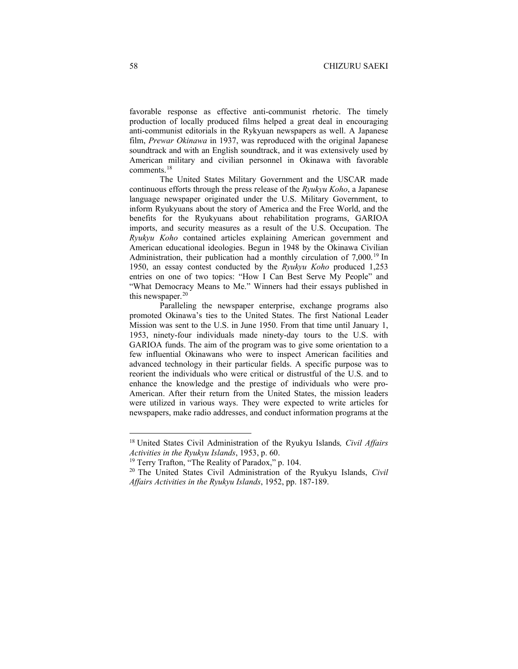favorable response as effective anti-communist rhetoric. The timely production of locally produced films helped a great deal in encouraging anti-communist editorials in the Rykyuan newspapers as well. A Japanese film, *Prewar Okinawa* in 1937, was reproduced with the original Japanese soundtrack and with an English soundtrack, and it was extensively used by American military and civilian personnel in Okinawa with favorable comments.[18](#page-7-0)

The United States Military Government and the USCAR made continuous efforts through the press release of the *Ryukyu Koho*, a Japanese language newspaper originated under the U.S. Military Government, to inform Ryukyuans about the story of America and the Free World, and the benefits for the Ryukyuans about rehabilitation programs, GARIOA imports, and security measures as a result of the U.S. Occupation. The *Ryukyu Koho* contained articles explaining American government and American educational ideologies. Begun in 1948 by the Okinawa Civilian Administration, their publication had a monthly circulation of 7,000.<sup>[19](#page-7-1)</sup> In 1950, an essay contest conducted by the *Ryukyu Koho* produced 1,253 entries on one of two topics: "How I Can Best Serve My People" and "What Democracy Means to Me." Winners had their essays published in this newspaper. $20$ 

Paralleling the newspaper enterprise, exchange programs also promoted Okinawa's ties to the United States. The first National Leader Mission was sent to the U.S. in June 1950. From that time until January 1, 1953, ninety-four individuals made ninety-day tours to the U.S. with GARIOA funds. The aim of the program was to give some orientation to a few influential Okinawans who were to inspect American facilities and advanced technology in their particular fields. A specific purpose was to reorient the individuals who were critical or distrustful of the U.S. and to enhance the knowledge and the prestige of individuals who were pro-American. After their return from the United States, the mission leaders were utilized in various ways. They were expected to write articles for newspapers, make radio addresses, and conduct information programs at the

<span id="page-7-0"></span><sup>18</sup> United States Civil Administration of the Ryukyu Islands*, Civil Affairs Activities in the Ryukyu Islands*, 1953, p. 60.

<sup>&</sup>lt;sup>19</sup> Terry Trafton, "The Reality of Paradox," p. 104.

<span id="page-7-2"></span><span id="page-7-1"></span><sup>20</sup> The United States Civil Administration of the Ryukyu Islands, *Civil Affairs Activities in the Ryukyu Islands*, 1952, pp. 187-189.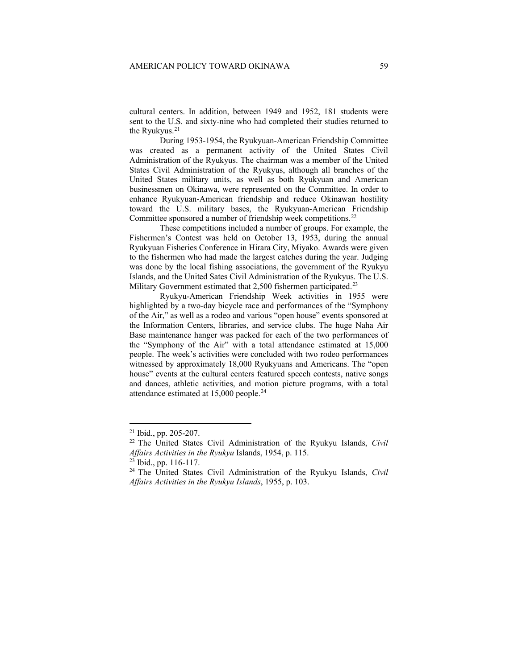cultural centers. In addition, between 1949 and 1952, 181 students were sent to the U.S. and sixty-nine who had completed their studies returned to the Ryukyus.<sup>[21](#page-8-0)</sup>

During 1953-1954, the Ryukyuan-American Friendship Committee was created as a permanent activity of the United States Civil Administration of the Ryukyus. The chairman was a member of the United States Civil Administration of the Ryukyus, although all branches of the United States military units, as well as both Ryukyuan and American businessmen on Okinawa, were represented on the Committee. In order to enhance Ryukyuan-American friendship and reduce Okinawan hostility toward the U.S. military bases, the Ryukyuan-American Friendship Committee sponsored a number of friendship week competitions.<sup>[22](#page-8-1)</sup>

These competitions included a number of groups. For example, the Fishermen's Contest was held on October 13, 1953, during the annual Ryukyuan Fisheries Conference in Hirara City, Miyako. Awards were given to the fishermen who had made the largest catches during the year. Judging was done by the local fishing associations, the government of the Ryukyu Islands, and the United Sates Civil Administration of the Ryukyus. The U.S. Military Government estimated that 2,500 fishermen participated.<sup>[23](#page-8-2)</sup>

Ryukyu-American Friendship Week activities in 1955 were highlighted by a two-day bicycle race and performances of the "Symphony of the Air," as well as a rodeo and various "open house" events sponsored at the Information Centers, libraries, and service clubs. The huge Naha Air Base maintenance hanger was packed for each of the two performances of the "Symphony of the Air" with a total attendance estimated at 15,000 people. The week's activities were concluded with two rodeo performances witnessed by approximately 18,000 Ryukyuans and Americans. The "open house" events at the cultural centers featured speech contests, native songs and dances, athletic activities, and motion picture programs, with a total attendance estimated at 15,000 people.<sup>24</sup>

<span id="page-8-0"></span><sup>21</sup> Ibid., pp. 205-207.

<span id="page-8-1"></span><sup>22</sup> The United States Civil Administration of the Ryukyu Islands, *Civil Affairs Activities in the Ryukyu* Islands, 1954, p. 115.

<sup>23</sup> Ibid., pp. 116-117.

<span id="page-8-3"></span><span id="page-8-2"></span><sup>24</sup> The United States Civil Administration of the Ryukyu Islands, *Civil Affairs Activities in the Ryukyu Islands*, 1955, p. 103.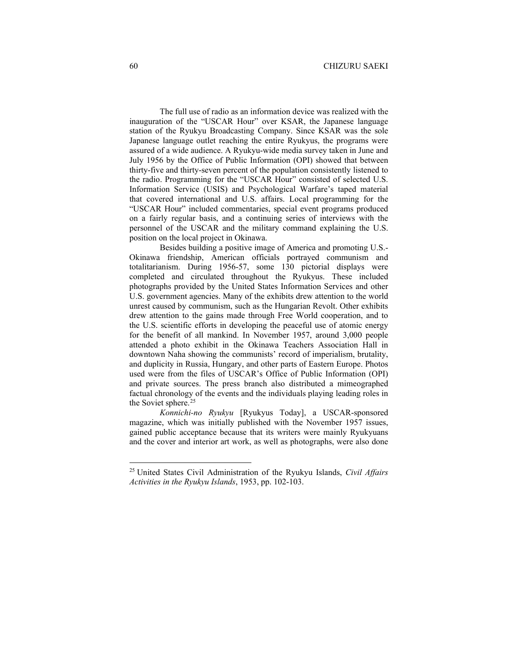The full use of radio as an information device was realized with the inauguration of the "USCAR Hour" over KSAR, the Japanese language station of the Ryukyu Broadcasting Company. Since KSAR was the sole Japanese language outlet reaching the entire Ryukyus, the programs were assured of a wide audience. A Ryukyu-wide media survey taken in June and July 1956 by the Office of Public Information (OPI) showed that between thirty-five and thirty-seven percent of the population consistently listened to the radio. Programming for the "USCAR Hour" consisted of selected U.S. Information Service (USIS) and Psychological Warfare's taped material that covered international and U.S. affairs. Local programming for the "USCAR Hour" included commentaries, special event programs produced on a fairly regular basis, and a continuing series of interviews with the personnel of the USCAR and the military command explaining the U.S. position on the local project in Okinawa.

Besides building a positive image of America and promoting U.S.- Okinawa friendship, American officials portrayed communism and totalitarianism. During 1956-57, some 130 pictorial displays were completed and circulated throughout the Ryukyus. These included photographs provided by the United States Information Services and other U.S. government agencies. Many of the exhibits drew attention to the world unrest caused by communism, such as the Hungarian Revolt. Other exhibits drew attention to the gains made through Free World cooperation, and to the U.S. scientific efforts in developing the peaceful use of atomic energy for the benefit of all mankind. In November 1957, around 3,000 people attended a photo exhibit in the Okinawa Teachers Association Hall in downtown Naha showing the communists' record of imperialism, brutality, and duplicity in Russia, Hungary, and other parts of Eastern Europe. Photos used were from the files of USCAR's Office of Public Information (OPI) and private sources. The press branch also distributed a mimeographed factual chronology of the events and the individuals playing leading roles in the Soviet sphere. [25](#page-9-0)

*Konnichi-no Ryukyu* [Ryukyus Today], a USCAR-sponsored magazine, which was initially published with the November 1957 issues, gained public acceptance because that its writers were mainly Ryukyuans and the cover and interior art work, as well as photographs, were also done

<span id="page-9-0"></span><sup>25</sup> United States Civil Administration of the Ryukyu Islands, *Civil Affairs Activities in the Ryukyu Islands*, 1953, pp. 102-103.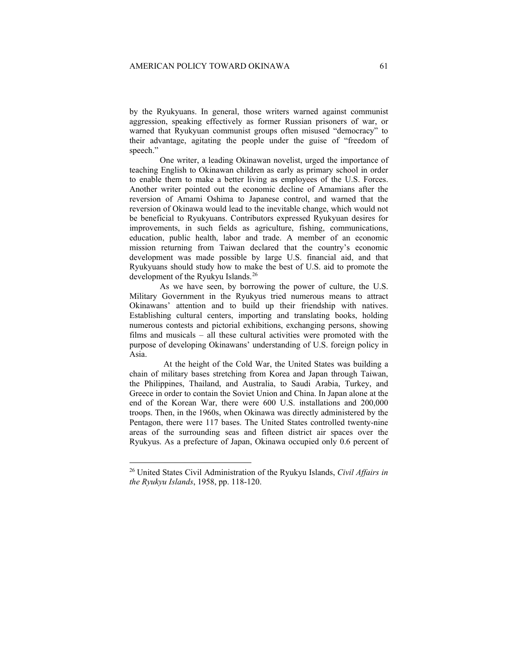by the Ryukyuans. In general, those writers warned against communist aggression, speaking effectively as former Russian prisoners of war, or warned that Ryukyuan communist groups often misused "democracy" to their advantage, agitating the people under the guise of "freedom of speech."

One writer, a leading Okinawan novelist, urged the importance of teaching English to Okinawan children as early as primary school in order to enable them to make a better living as employees of the U.S. Forces. Another writer pointed out the economic decline of Amamians after the reversion of Amami Oshima to Japanese control, and warned that the reversion of Okinawa would lead to the inevitable change, which would not be beneficial to Ryukyuans. Contributors expressed Ryukyuan desires for improvements, in such fields as agriculture, fishing, communications, education, public health, labor and trade. A member of an economic mission returning from Taiwan declared that the country's economic development was made possible by large U.S. financial aid, and that Ryukyuans should study how to make the best of U.S. aid to promote the development of the Ryukyu Islands.<sup>[26](#page-10-0)</sup>

As we have seen, by borrowing the power of culture, the U.S. Military Government in the Ryukyus tried numerous means to attract Okinawans' attention and to build up their friendship with natives. Establishing cultural centers, importing and translating books, holding numerous contests and pictorial exhibitions, exchanging persons, showing films and musicals – all these cultural activities were promoted with the purpose of developing Okinawans' understanding of U.S. foreign policy in Asia.

At the height of the Cold War, the United States was building a chain of military bases stretching from Korea and Japan through Taiwan, the Philippines, Thailand, and Australia, to Saudi Arabia, Turkey, and Greece in order to contain the Soviet Union and China. In Japan alone at the end of the Korean War, there were 600 U.S. installations and 200,000 troops. Then, in the 1960s, when Okinawa was directly administered by the Pentagon, there were 117 bases. The United States controlled twenty-nine areas of the surrounding seas and fifteen district air spaces over the Ryukyus. As a prefecture of Japan, Okinawa occupied only 0.6 percent of

<span id="page-10-0"></span><sup>26</sup> United States Civil Administration of the Ryukyu Islands, *Civil Affairs in the Ryukyu Islands*, 1958, pp. 118-120.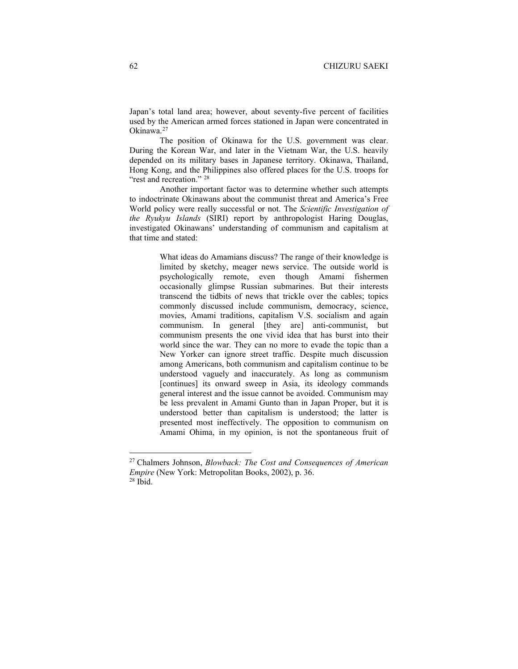Japan's total land area; however, about seventy-five percent of facilities used by the American armed forces stationed in Japan were concentrated in Okinawa.[27](#page-11-0)

The position of Okinawa for the U.S. government was clear. During the Korean War, and later in the Vietnam War, the U.S. heavily depended on its military bases in Japanese territory. Okinawa, Thailand, Hong Kong, and the Philippines also offered places for the U.S. troops for "rest and recreation."<sup>[28](#page-11-1)</sup>

Another important factor was to determine whether such attempts to indoctrinate Okinawans about the communist threat and America's Free World policy were really successful or not. The *Scientific Investigation of the Ryukyu Islands* (SIRI) report by anthropologist Haring Douglas, investigated Okinawans' understanding of communism and capitalism at that time and stated:

> What ideas do Amamians discuss? The range of their knowledge is limited by sketchy, meager news service. The outside world is psychologically remote, even though Amami fishermen occasionally glimpse Russian submarines. But their interests transcend the tidbits of news that trickle over the cables; topics commonly discussed include communism, democracy, science, movies, Amami traditions, capitalism V.S. socialism and again communism. In general [they are] anti-communist, but communism presents the one vivid idea that has burst into their world since the war. They can no more to evade the topic than a New Yorker can ignore street traffic. Despite much discussion among Americans, both communism and capitalism continue to be understood vaguely and inaccurately. As long as communism [continues] its onward sweep in Asia, its ideology commands general interest and the issue cannot be avoided. Communism may be less prevalent in Amami Gunto than in Japan Proper, but it is understood better than capitalism is understood; the latter is presented most ineffectively. The opposition to communism on Amami Ohima, in my opinion, is not the spontaneous fruit of

<span id="page-11-1"></span><span id="page-11-0"></span><sup>27</sup> Chalmers Johnson, *Blowback: The Cost and Consequences of American Empire* (New York: Metropolitan Books, 2002), p. 36.  $28$  Ibid.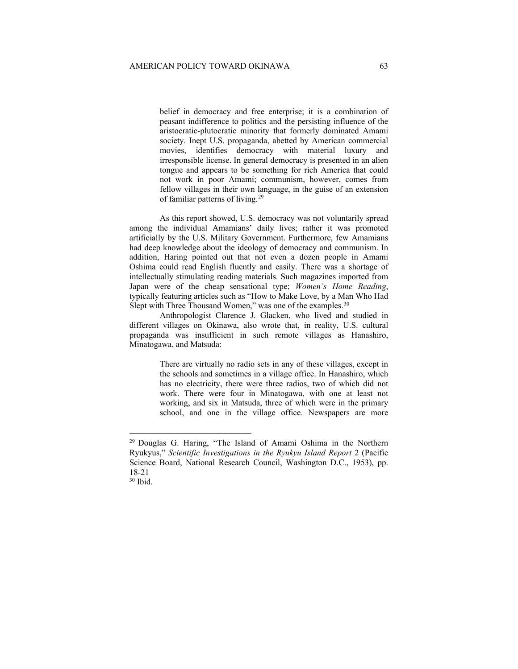belief in democracy and free enterprise; it is a combination of peasant indifference to politics and the persisting influence of the aristocratic-plutocratic minority that formerly dominated Amami society. Inept U.S. propaganda, abetted by American commercial movies, identifies democracy with material luxury and irresponsible license. In general democracy is presented in an alien tongue and appears to be something for rich America that could not work in poor Amami; communism, however, comes from fellow villages in their own language, in the guise of an extension of familiar patterns of living.[29](#page-12-0)

As this report showed, U.S. democracy was not voluntarily spread among the individual Amamians' daily lives; rather it was promoted artificially by the U.S. Military Government. Furthermore, few Amamians had deep knowledge about the ideology of democracy and communism. In addition, Haring pointed out that not even a dozen people in Amami Oshima could read English fluently and easily. There was a shortage of intellectually stimulating reading materials. Such magazines imported from Japan were of the cheap sensational type; *Women's Home Reading*, typically featuring articles such as "How to Make Love, by a Man Who Had Slept with Three Thousand Women," was one of the examples.<sup>30</sup>

Anthropologist Clarence J. Glacken, who lived and studied in different villages on Okinawa, also wrote that, in reality, U.S. cultural propaganda was insufficient in such remote villages as Hanashiro, Minatogawa, and Matsuda:

> There are virtually no radio sets in any of these villages, except in the schools and sometimes in a village office. In Hanashiro, which has no electricity, there were three radios, two of which did not work. There were four in Minatogawa, with one at least not working, and six in Matsuda, three of which were in the primary school, and one in the village office. Newspapers are more

<span id="page-12-0"></span><sup>29</sup> Douglas G. Haring, "The Island of Amami Oshima in the Northern Ryukyus," *Scientific Investigations in the Ryukyu Island Report* 2 (Pacific Science Board, National Research Council, Washington D.C., 1953), pp. 18-21

<span id="page-12-1"></span><sup>30</sup> Ibid.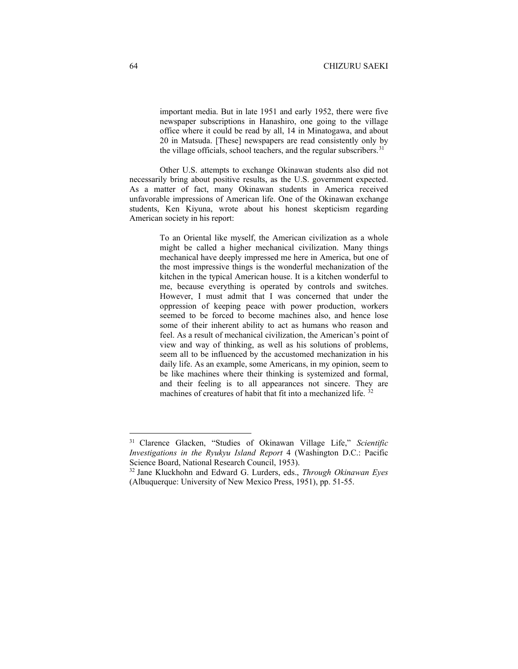important media. But in late 1951 and early 1952, there were five newspaper subscriptions in Hanashiro, one going to the village office where it could be read by all, 14 in Minatogawa, and about 20 in Matsuda. [These] newspapers are read consistently only by the village officials, school teachers, and the regular subscribers.<sup>[31](#page-13-0)</sup>

Other U.S. attempts to exchange Okinawan students also did not necessarily bring about positive results, as the U.S. government expected. As a matter of fact, many Okinawan students in America received unfavorable impressions of American life. One of the Okinawan exchange students, Ken Kiyuna, wrote about his honest skepticism regarding American society in his report:

> To an Oriental like myself, the American civilization as a whole might be called a higher mechanical civilization. Many things mechanical have deeply impressed me here in America, but one of the most impressive things is the wonderful mechanization of the kitchen in the typical American house. It is a kitchen wonderful to me, because everything is operated by controls and switches. However, I must admit that I was concerned that under the oppression of keeping peace with power production, workers seemed to be forced to become machines also, and hence lose some of their inherent ability to act as humans who reason and feel. As a result of mechanical civilization, the American's point of view and way of thinking, as well as his solutions of problems, seem all to be influenced by the accustomed mechanization in his daily life. As an example, some Americans, in my opinion, seem to be like machines where their thinking is systemized and formal, and their feeling is to all appearances not sincere. They are machines of creatures of habit that fit into a mechanized life. <sup>[32](#page-13-1)</sup>

<span id="page-13-0"></span><sup>31</sup> Clarence Glacken, "Studies of Okinawan Village Life," *Scientific Investigations in the Ryukyu Island Report* 4 (Washington D.C.: Pacific Science Board, National Research Council, 1953).

<span id="page-13-1"></span><sup>32</sup> Jane Kluckhohn and Edward G. Lurders, eds., *Through Okinawan Eyes* (Albuquerque: University of New Mexico Press, 1951), pp. 51-55.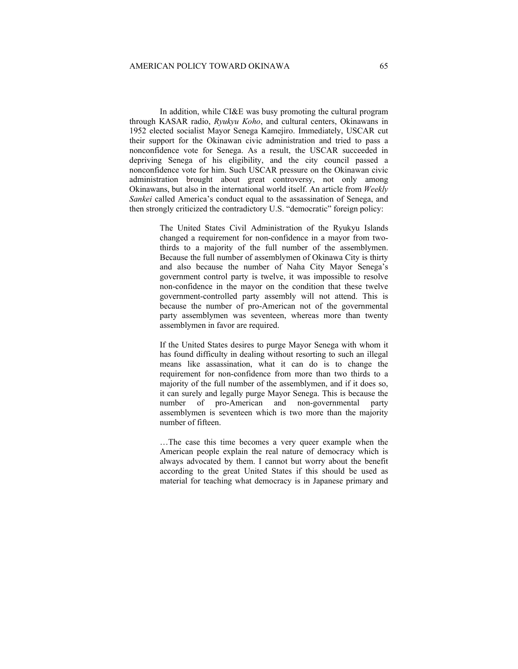In addition, while CI&E was busy promoting the cultural program through KASAR radio, *Ryukyu Koho*, and cultural centers, Okinawans in 1952 elected socialist Mayor Senega Kamejiro. Immediately, USCAR cut their support for the Okinawan civic administration and tried to pass a nonconfidence vote for Senega. As a result, the USCAR succeeded in depriving Senega of his eligibility, and the city council passed a nonconfidence vote for him. Such USCAR pressure on the Okinawan civic administration brought about great controversy, not only among Okinawans, but also in the international world itself. An article from *Weekly Sankei* called America's conduct equal to the assassination of Senega, and then strongly criticized the contradictory U.S. "democratic" foreign policy:

> The United States Civil Administration of the Ryukyu Islands changed a requirement for non-confidence in a mayor from twothirds to a majority of the full number of the assemblymen. Because the full number of assemblymen of Okinawa City is thirty and also because the number of Naha City Mayor Senega's government control party is twelve, it was impossible to resolve non-confidence in the mayor on the condition that these twelve government-controlled party assembly will not attend. This is because the number of pro-American not of the governmental party assemblymen was seventeen, whereas more than twenty assemblymen in favor are required.

> If the United States desires to purge Mayor Senega with whom it has found difficulty in dealing without resorting to such an illegal means like assassination, what it can do is to change the requirement for non-confidence from more than two thirds to a majority of the full number of the assemblymen, and if it does so, it can surely and legally purge Mayor Senega. This is because the number of pro-American and non-governmental party assemblymen is seventeen which is two more than the majority number of fifteen.

> …The case this time becomes a very queer example when the American people explain the real nature of democracy which is always advocated by them. I cannot but worry about the benefit according to the great United States if this should be used as material for teaching what democracy is in Japanese primary and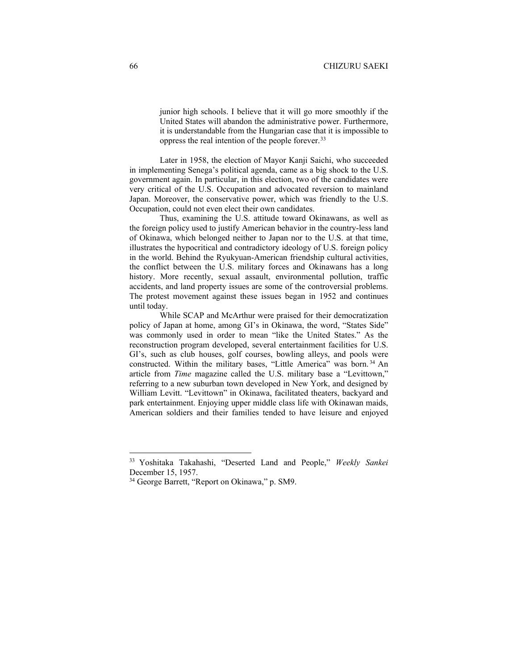junior high schools. I believe that it will go more smoothly if the United States will abandon the administrative power. Furthermore, it is understandable from the Hungarian case that it is impossible to oppress the real intention of the people forever.[33](#page-15-0)

Later in 1958, the election of Mayor Kanji Saichi, who succeeded in implementing Senega's political agenda, came as a big shock to the U.S. government again. In particular, in this election, two of the candidates were very critical of the U.S. Occupation and advocated reversion to mainland Japan. Moreover, the conservative power, which was friendly to the U.S. Occupation, could not even elect their own candidates.

Thus, examining the U.S. attitude toward Okinawans, as well as the foreign policy used to justify American behavior in the country-less land of Okinawa, which belonged neither to Japan nor to the U.S. at that time, illustrates the hypocritical and contradictory ideology of U.S. foreign policy in the world. Behind the Ryukyuan-American friendship cultural activities, the conflict between the U.S. military forces and Okinawans has a long history. More recently, sexual assault, environmental pollution, traffic accidents, and land property issues are some of the controversial problems. The protest movement against these issues began in 1952 and continues until today.

While SCAP and McArthur were praised for their democratization policy of Japan at home, among GI's in Okinawa, the word, "States Side" was commonly used in order to mean "like the United States." As the reconstruction program developed, several entertainment facilities for U.S. GI's, such as club houses, golf courses, bowling alleys, and pools were constructed. Within the military bases, "Little America" was born. [34](#page-15-1) An article from *Time* magazine called the U.S. military base a "Levittown," referring to a new suburban town developed in New York, and designed by William Levitt. "Levittown" in Okinawa, facilitated theaters, backyard and park entertainment. Enjoying upper middle class life with Okinawan maids, American soldiers and their families tended to have leisure and enjoyed

<span id="page-15-0"></span><sup>33</sup> Yoshitaka Takahashi, "Deserted Land and People," *Weekly Sankei* December 15, 1957.

<span id="page-15-1"></span><sup>34</sup> George Barrett, "Report on Okinawa," p. SM9.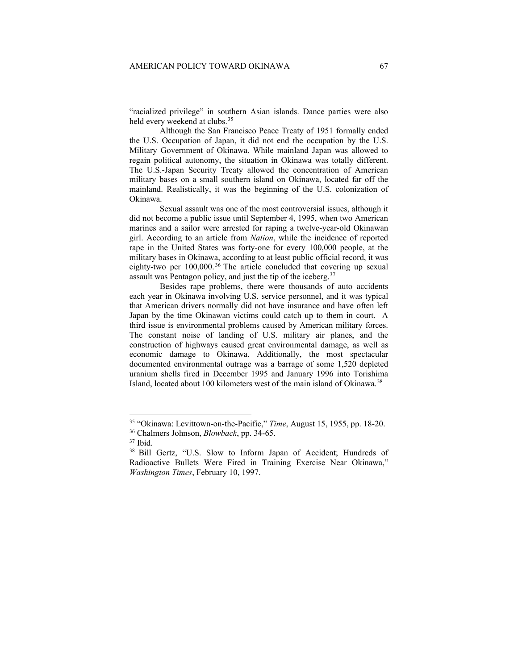"racialized privilege" in southern Asian islands. Dance parties were also held every weekend at clubs.<sup>[35](#page-16-0)</sup>

Although the San Francisco Peace Treaty of 1951 formally ended the U.S. Occupation of Japan, it did not end the occupation by the U.S. Military Government of Okinawa. While mainland Japan was allowed to regain political autonomy, the situation in Okinawa was totally different. The U.S.-Japan Security Treaty allowed the concentration of American military bases on a small southern island on Okinawa, located far off the mainland. Realistically, it was the beginning of the U.S. colonization of Okinawa.

Sexual assault was one of the most controversial issues, although it did not become a public issue until September 4, 1995, when two American marines and a sailor were arrested for raping a twelve-year-old Okinawan girl. According to an article from *Nation*, while the incidence of reported rape in the United States was forty-one for every 100,000 people, at the military bases in Okinawa, according to at least public official record, it was eighty-two per 100,000. [36](#page-16-1) The article concluded that covering up sexual assault was Pentagon policy, and just the tip of the iceberg.<sup>[37](#page-16-2)</sup>

Besides rape problems, there were thousands of auto accidents each year in Okinawa involving U.S. service personnel, and it was typical that American drivers normally did not have insurance and have often left Japan by the time Okinawan victims could catch up to them in court. A third issue is environmental problems caused by American military forces. The constant noise of landing of U.S. military air planes, and the construction of highways caused great environmental damage, as well as economic damage to Okinawa. Additionally, the most spectacular documented environmental outrage was a barrage of some 1,520 depleted uranium shells fired in December 1995 and January 1996 into Torishima Island, located about 100 kilometers west of the main island of Okinawa.<sup>[38](#page-16-3)</sup>

<span id="page-16-0"></span><sup>35</sup> "Okinawa: Levittown-on-the-Pacific," *Time*, August 15, 1955, pp. 18-20.

<span id="page-16-1"></span><sup>36</sup> Chalmers Johnson, *Blowback*, pp. 34-65.

<span id="page-16-2"></span><sup>37</sup> Ibid.

<span id="page-16-3"></span><sup>38</sup> Bill Gertz, "U.S. Slow to Inform Japan of Accident; Hundreds of Radioactive Bullets Were Fired in Training Exercise Near Okinawa," *Washington Times*, February 10, 1997.